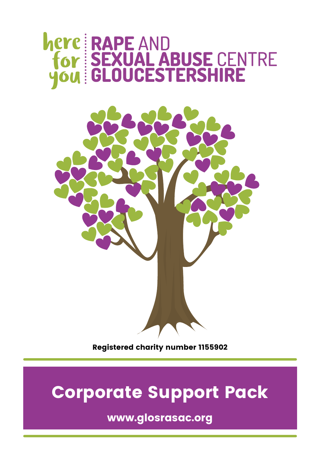# here RAPE AND<br>for SEXUAL ABUSE CENTRE<br>you : GLOUCESTERSHIRE



Registered charity number 1155902

## Corporate Support Pack

www.glosrasac.org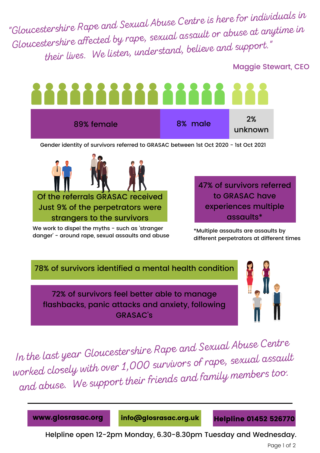"Gloucestershire Rape and Sexual Abuse Centre is here for individuals in Gloucestershire affected by rape, sexual assault or abuse at anytime in their lives. We listen, understand, believe and support."

#### Maggie Stewart, CEO



Gender identity of survivors referred to GRASAC between 1st Oct 2020 - 1st Oct 2021



Just 9% of the perpetrators were strangers to the survivors

We work to dispel the myths - such as 'stranger danger' - around rape, sexual assaults and abuse 47% of survivors referred to GRASAC have experiences multiple assaults\*

\*Multiple assaults are assaults by different perpetrators at different times

78% of survivors identified a mental health condition

72% of survivors feel better able to manage flashbacks, panic attacks and anxiety, following GRASAC's



In the last year Gloucestershire Rape and Sexual Abuse Centre worked closely with over 1,000 survivors of rape, sexual assault and abuse. We support their friends and family members too.

www.glosrasac.org info@glosrasac.org.uk Helpline 01452 526770

Helpline open 12-2pm Monday, 6.30-8.30pm Tuesday and Wednesday.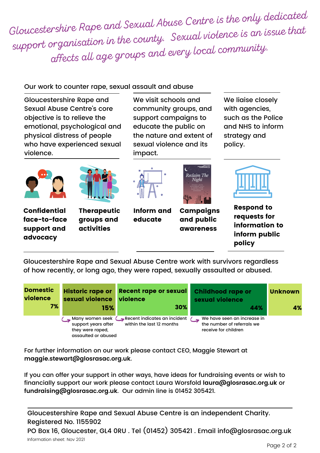Gloucestershire Rape and Sexual Abuse Centre is the only dedicated support organisation in the county. Sexual violence is an issue that affects all age groups and every local community.

#### Our work to counter rape, sexual assault and abuse

Gloucestershire Rape and Sexual Abuse Centre's core objective is to relieve the emotional, psychological and physical distress of people who have experienced sexual violence.

We visit schools and community groups, and support campaigns to educate the public on the nature and extent of sexual violence and its impact.

We liaise closely with agencies, such as the Police and NHS to inform strategy and policy.





Confidential face-to-face support and advocacy

**Therapeutic** groups and activities



Inform and educate



**Campaigns** and public awareness



Respond to requests for information to inform public policy

Gloucestershire Rape and Sexual Abuse Centre work with survivors regardless of how recently, or long ago, they were raped, sexually assaulted or abused.



For further information on our work please contact CEO, Maggie Stewart at **maggie.stewart@glosrasac.org.uk**.

If you can offer your support in other ways, have ideas for fundraising events or wish to financially support our work please contact Laura Worsfold **laura@glosrasac.org.uk** or **fundraising@glosrasac.org.uk**. Our admin line is 01452 305421.

Gloucestershire Rape and Sexual Abuse Centre is an independent Charity. Registered No. 1155902

PO Box 16, Gloucester, GL4 0RU . Tel (01452) 305421 . Email info@glosrasac.org.uk Information sheet: Nov 2021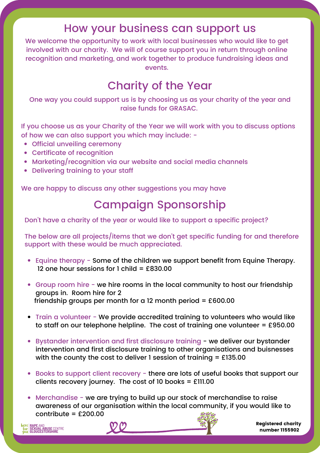#### How your business can support us

We welcome the opportunity to work with local businesses who would like to get involved with our charity. We will of course support you in return through online recognition and marketing, and work together to produce fundraising ideas and events.

## Charity of the Year

One way you could support us is by choosing us as your charity of the year and raise funds for GRASAC.

If you choose us as your Charity of the Year we will work with you to discuss options of how we can also support you which may include: -

- Official unveiling ceremony
- Certificate of recognition
- Marketing/recognition via our website and social media channels
- Delivering training to your staff

We are happy to discuss any other suggestions you may have

## Campaign Sponsorship

Don't have a charity of the year or would like to support a specific project?

The below are all projects/items that we don't get specific funding for and therefore support with these would be much appreciated.

- Equine therapy Some of the children we support benefit from Equine Therapy. 12 one hour sessions for 1 child =  $£830.00$
- Group room hire we hire rooms in the local community to host our friendship groups in. Room hire for 2 friendship groups per month for a 12 month period =  $£600.00$
- Train a volunteer We provide accredited training to volunteers who would like to staff on our telephone helpline. The cost of training one volunteer = £950.00
- Bystander intervention and first disclosure training we deliver our bystander intervention and first disclosure training to other organisations and buisnesses with the county the cost to deliver 1 session of training = £135.00
- Books to support client recovery there are lots of useful books that support our clients recovery journey. The cost of 10 books =  $£111.00$
- Merchandise we are trying to build up our stock of merchandise to raise awareness of our organisation within the local community, if you would like to contribute = £200.00







Registered charity number 1155902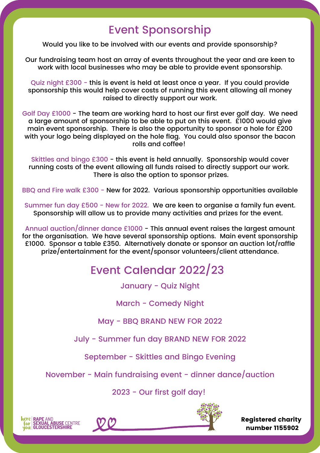#### Event Sponsorship

Would you like to be involved with our events and provide sponsorship?

Our fundraising team host an array of events throughout the year and are keen to work with local businesses who may be able to provide event sponsorship.

Quiz night £300 - this is event is held at least once a year. If you could provide sponsorship this would help cover costs of running this event allowing all money raised to directly support our work.

Golf Day £1000 - The team are working hard to host our first ever golf day. We need a large amount of sponsorship to be able to put on this event. £1000 would give main event sponsorship. There is also the opportunity to sponsor a hole for £200 with your logo being displayed on the hole flag. You could also sponsor the bacon rolls and coffee!

Skittles and bingo £300 - this event is held annually. Sponsorship would cover running costs of the event allowing all funds raised to directly support our work. There is also the option to sponsor prizes.

BBQ and Fire walk £300 - New for 2022. Various sponsorship opportunities available

Summer fun day £500 - New for 2022. We are keen to organise a family fun event. Sponsorship will allow us to provide many activities and prizes for the event.

Annual auction/dinner dance £1000 - This annual event raises the largest amount for the organisation. We have several sponsorship options. Main event sponsorship £1000. Sponsor a table £350. Alternatively donate or sponsor an auction lot/raffle prize/entertainment for the event/sponsor volunteers/client attendance.

## Event Calendar 2022/23

January - Quiz Night

March - Comedy Night

May - BBQ BRAND NEW FOR 2022

July - Summer fun day BRAND NEW FOR 2022

September - Skittles and Bingo Evening

November - Main fundraising event - dinner dance/auction

2023 - Our first golf day!





Registered charity number 1155902